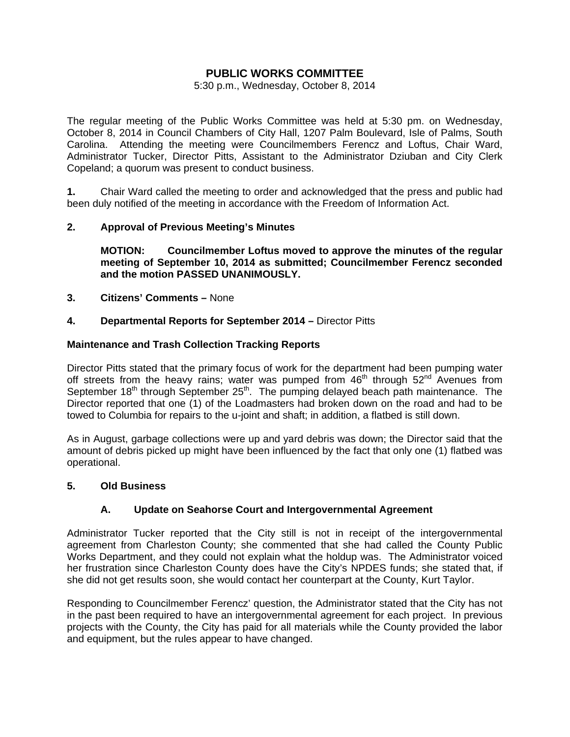# **PUBLIC WORKS COMMITTEE**

5:30 p.m., Wednesday, October 8, 2014

The regular meeting of the Public Works Committee was held at 5:30 pm. on Wednesday, October 8, 2014 in Council Chambers of City Hall, 1207 Palm Boulevard, Isle of Palms, South Carolina. Attending the meeting were Councilmembers Ferencz and Loftus, Chair Ward, Administrator Tucker, Director Pitts, Assistant to the Administrator Dziuban and City Clerk Copeland; a quorum was present to conduct business.

**1.** Chair Ward called the meeting to order and acknowledged that the press and public had been duly notified of the meeting in accordance with the Freedom of Information Act.

# **2. Approval of Previous Meeting's Minutes**

 **MOTION: Councilmember Loftus moved to approve the minutes of the regular meeting of September 10, 2014 as submitted; Councilmember Ferencz seconded and the motion PASSED UNANIMOUSLY.** 

**3. Citizens' Comments –** None

## **4. Departmental Reports for September 2014 –** Director Pitts

## **Maintenance and Trash Collection Tracking Reports**

Director Pitts stated that the primary focus of work for the department had been pumping water off streets from the heavy rains; water was pumped from  $46<sup>th</sup>$  through  $52<sup>nd</sup>$  Avenues from September  $18<sup>th</sup>$  through September  $25<sup>th</sup>$ . The pumping delayed beach path maintenance. The Director reported that one (1) of the Loadmasters had broken down on the road and had to be towed to Columbia for repairs to the u-joint and shaft; in addition, a flatbed is still down.

As in August, garbage collections were up and yard debris was down; the Director said that the amount of debris picked up might have been influenced by the fact that only one (1) flatbed was operational.

## **5. Old Business**

# **A. Update on Seahorse Court and Intergovernmental Agreement**

Administrator Tucker reported that the City still is not in receipt of the intergovernmental agreement from Charleston County; she commented that she had called the County Public Works Department, and they could not explain what the holdup was. The Administrator voiced her frustration since Charleston County does have the City's NPDES funds; she stated that, if she did not get results soon, she would contact her counterpart at the County, Kurt Taylor.

Responding to Councilmember Ferencz' question, the Administrator stated that the City has not in the past been required to have an intergovernmental agreement for each project. In previous projects with the County, the City has paid for all materials while the County provided the labor and equipment, but the rules appear to have changed.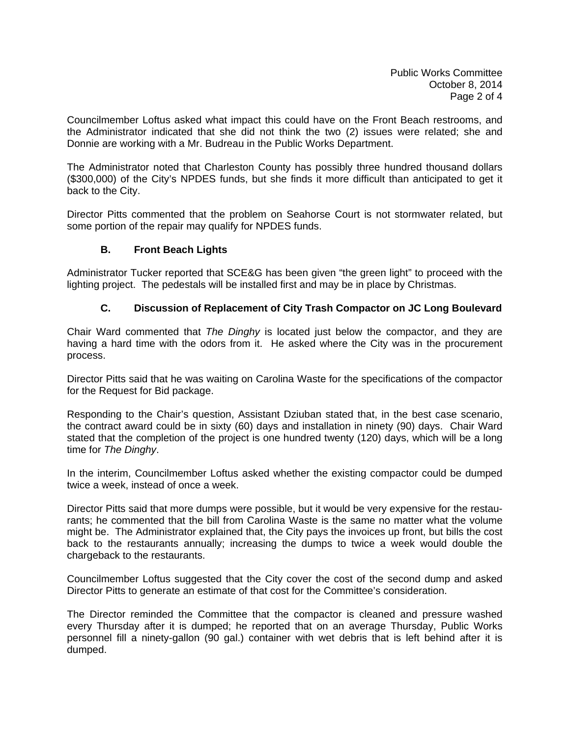Councilmember Loftus asked what impact this could have on the Front Beach restrooms, and the Administrator indicated that she did not think the two (2) issues were related; she and Donnie are working with a Mr. Budreau in the Public Works Department.

The Administrator noted that Charleston County has possibly three hundred thousand dollars (\$300,000) of the City's NPDES funds, but she finds it more difficult than anticipated to get it back to the City.

Director Pitts commented that the problem on Seahorse Court is not stormwater related, but some portion of the repair may qualify for NPDES funds.

# **B. Front Beach Lights**

Administrator Tucker reported that SCE&G has been given "the green light" to proceed with the lighting project. The pedestals will be installed first and may be in place by Christmas.

# **C. Discussion of Replacement of City Trash Compactor on JC Long Boulevard**

Chair Ward commented that *The Dinghy* is located just below the compactor, and they are having a hard time with the odors from it. He asked where the City was in the procurement process.

Director Pitts said that he was waiting on Carolina Waste for the specifications of the compactor for the Request for Bid package.

Responding to the Chair's question, Assistant Dziuban stated that, in the best case scenario, the contract award could be in sixty (60) days and installation in ninety (90) days. Chair Ward stated that the completion of the project is one hundred twenty (120) days, which will be a long time for *The Dinghy*.

In the interim, Councilmember Loftus asked whether the existing compactor could be dumped twice a week, instead of once a week.

Director Pitts said that more dumps were possible, but it would be very expensive for the restaurants; he commented that the bill from Carolina Waste is the same no matter what the volume might be. The Administrator explained that, the City pays the invoices up front, but bills the cost back to the restaurants annually; increasing the dumps to twice a week would double the chargeback to the restaurants.

Councilmember Loftus suggested that the City cover the cost of the second dump and asked Director Pitts to generate an estimate of that cost for the Committee's consideration.

The Director reminded the Committee that the compactor is cleaned and pressure washed every Thursday after it is dumped; he reported that on an average Thursday, Public Works personnel fill a ninety-gallon (90 gal.) container with wet debris that is left behind after it is dumped.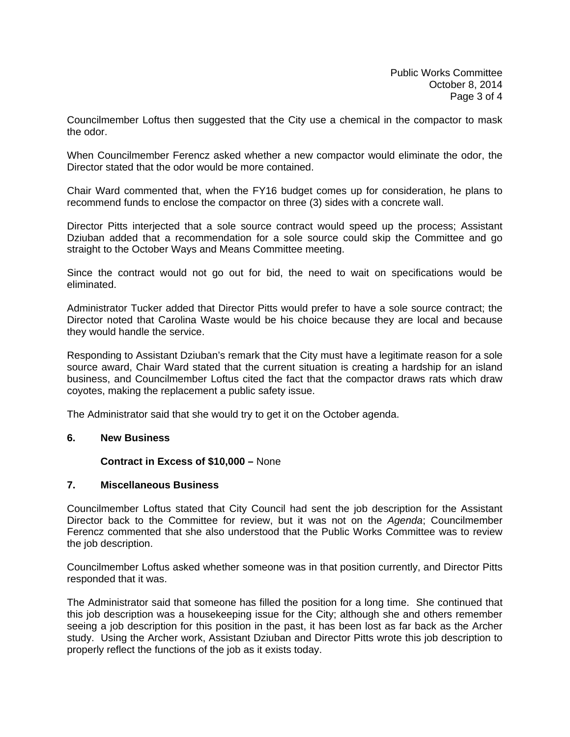Councilmember Loftus then suggested that the City use a chemical in the compactor to mask the odor.

When Councilmember Ferencz asked whether a new compactor would eliminate the odor, the Director stated that the odor would be more contained.

Chair Ward commented that, when the FY16 budget comes up for consideration, he plans to recommend funds to enclose the compactor on three (3) sides with a concrete wall.

Director Pitts interjected that a sole source contract would speed up the process; Assistant Dziuban added that a recommendation for a sole source could skip the Committee and go straight to the October Ways and Means Committee meeting.

Since the contract would not go out for bid, the need to wait on specifications would be eliminated.

Administrator Tucker added that Director Pitts would prefer to have a sole source contract; the Director noted that Carolina Waste would be his choice because they are local and because they would handle the service.

Responding to Assistant Dziuban's remark that the City must have a legitimate reason for a sole source award, Chair Ward stated that the current situation is creating a hardship for an island business, and Councilmember Loftus cited the fact that the compactor draws rats which draw coyotes, making the replacement a public safety issue.

The Administrator said that she would try to get it on the October agenda.

### **6. New Business**

### **Contract in Excess of \$10,000 –** None

### **7. Miscellaneous Business**

Councilmember Loftus stated that City Council had sent the job description for the Assistant Director back to the Committee for review, but it was not on the *Agenda*; Councilmember Ferencz commented that she also understood that the Public Works Committee was to review the job description.

Councilmember Loftus asked whether someone was in that position currently, and Director Pitts responded that it was.

The Administrator said that someone has filled the position for a long time. She continued that this job description was a housekeeping issue for the City; although she and others remember seeing a job description for this position in the past, it has been lost as far back as the Archer study. Using the Archer work, Assistant Dziuban and Director Pitts wrote this job description to properly reflect the functions of the job as it exists today.